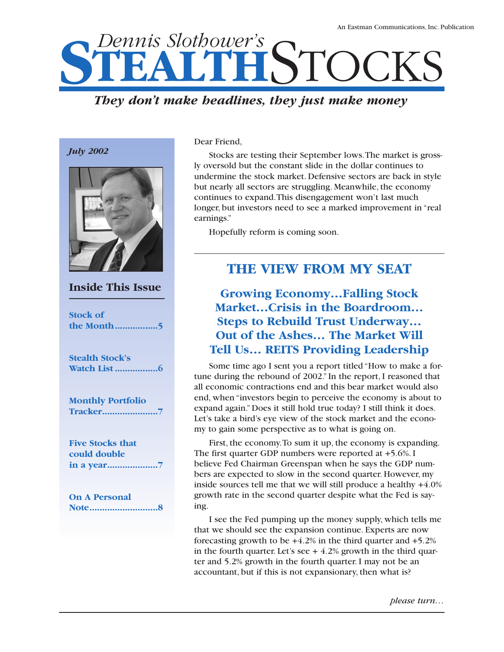# **STEALTHSTOCKS**

# *They don't make headlines, they just make money*





**Inside This Issue**

**Stock of the Month.................5**

**Stealth Stock's Watch List .................6**

**Monthly Portfolio Tracker......................7**

**Five Stocks that could double in a year....................7**

**On A Personal Note...........................8** Dear Friend,

Stocks are testing their September lows.The market is grossly oversold but the constant slide in the dollar continues to undermine the stock market. Defensive sectors are back in style but nearly all sectors are struggling. Meanwhile, the economy continues to expand.This disengagement won't last much longer, but investors need to see a marked improvement in "real earnings."

Hopefully reform is coming soon.

# **THE VIEW FROM MY SEAT**

**Growing Economy…Falling Stock Market…Crisis in the Boardroom… Steps to Rebuild Trust Underway… Out of the Ashes… The Market Will Tell Us… REITS Providing Leadership**

Some time ago I sent you a report titled "How to make a fortune during the rebound of 2002." In the report, I reasoned that all economic contractions end and this bear market would also end, when "investors begin to perceive the economy is about to expand again." Does it still hold true today? I still think it does. Let's take a bird's eye view of the stock market and the economy to gain some perspective as to what is going on.

First, the economy.To sum it up, the economy is expanding. The first quarter GDP numbers were reported at +5.6%. I believe Fed Chairman Greenspan when he says the GDP numbers are expected to slow in the second quarter. However, my inside sources tell me that we will still produce a healthy +4.0% growth rate in the second quarter despite what the Fed is saying.

I see the Fed pumping up the money supply, which tells me that we should see the expansion continue. Experts are now forecasting growth to be  $+4.2\%$  in the third quarter and  $+5.2\%$ in the fourth quarter. Let's see  $+4.2\%$  growth in the third quarter and 5.2% growth in the fourth quarter. I may not be an accountant, but if this is not expansionary, then what is?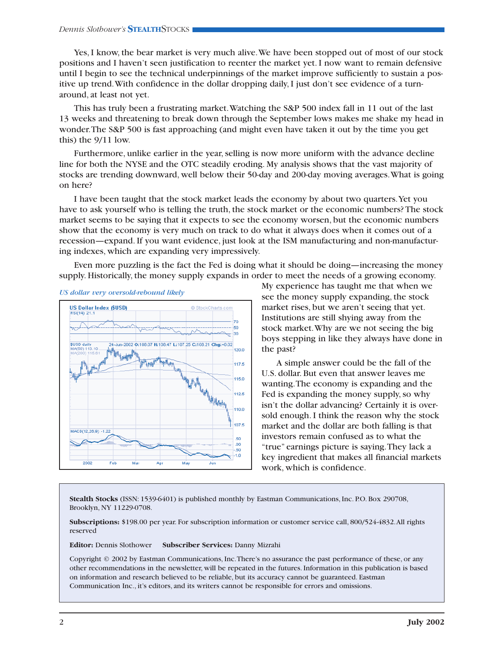#### *Dennis Slothower's* **STEALTH**STOCKS

Yes, I know, the bear market is very much alive.We have been stopped out of most of our stock positions and I haven't seen justification to reenter the market yet. I now want to remain defensive until I begin to see the technical underpinnings of the market improve sufficiently to sustain a positive up trend.With confidence in the dollar dropping daily, I just don't see evidence of a turnaround, at least not yet.

This has truly been a frustrating market.Watching the S&P 500 index fall in 11 out of the last 13 weeks and threatening to break down through the September lows makes me shake my head in wonder.The S&P 500 is fast approaching (and might even have taken it out by the time you get this) the 9/11 low.

Furthermore, unlike earlier in the year, selling is now more uniform with the advance decline line for both the NYSE and the OTC steadily eroding. My analysis shows that the vast majority of stocks are trending downward, well below their 50-day and 200-day moving averages.What is going on here?

I have been taught that the stock market leads the economy by about two quarters.Yet you have to ask yourself who is telling the truth, the stock market or the economic numbers? The stock market seems to be saying that it expects to see the economy worsen, but the economic numbers show that the economy is very much on track to do what it always does when it comes out of a recession—expand. If you want evidence, just look at the ISM manufacturing and non-manufacturing indexes, which are expanding very impressively.

Even more puzzling is the fact the Fed is doing what it should be doing—increasing the money supply. Historically, the money supply expands in order to meet the needs of a growing economy.





My experience has taught me that when we see the money supply expanding, the stock market rises, but we aren't seeing that yet. Institutions are still shying away from the stock market.Why are we not seeing the big boys stepping in like they always have done in the past?

A simple answer could be the fall of the U.S. dollar. But even that answer leaves me wanting.The economy is expanding and the Fed is expanding the money supply, so why isn't the dollar advancing? Certainly it is oversold enough. I think the reason why the stock market and the dollar are both falling is that investors remain confused as to what the "true" earnings picture is saying.They lack a key ingredient that makes all financial markets work, which is confidence.

**Stealth Stocks** (ISSN: 1539-6401) is published monthly by Eastman Communications, Inc. P.O. Box 290708, Brooklyn, NY 11229-0708.

**Subscriptions:** \$198.00 per year. For subscription information or customer service call, 800/524-4832.All rights reserved

**Editor:** Dennis Slothower **Subscriber Services:** Danny Mizrahi

Copyright © 2002 by Eastman Communications, Inc.There's no assurance the past performance of these, or any other recommendations in the newsletter, will be repeated in the futures. Information in this publication is based on information and research believed to be reliable, but its accuracy cannot be guaranteed. Eastman Communication Inc., it's editors, and its writers cannot be responsible for errors and omissions.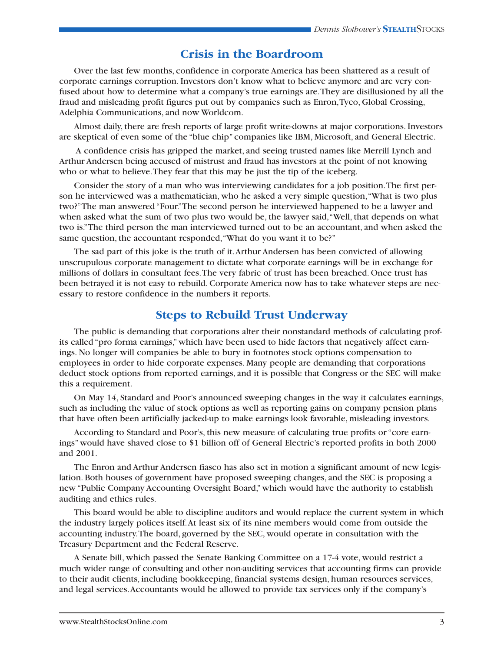## **Crisis in the Boardroom**

Over the last few months, confidence in corporate America has been shattered as a result of corporate earnings corruption. Investors don't know what to believe anymore and are very confused about how to determine what a company's true earnings are.They are disillusioned by all the fraud and misleading profit figures put out by companies such as Enron,Tyco, Global Crossing, Adelphia Communications, and now Worldcom.

Almost daily, there are fresh reports of large profit write-downs at major corporations. Investors are skeptical of even some of the "blue chip" companies like IBM, Microsoft, and General Electric.

A confidence crisis has gripped the market, and seeing trusted names like Merrill Lynch and Arthur Andersen being accused of mistrust and fraud has investors at the point of not knowing who or what to believe.They fear that this may be just the tip of the iceberg.

Consider the story of a man who was interviewing candidates for a job position.The first person he interviewed was a mathematician, who he asked a very simple question,"What is two plus two?"The man answered "Four."The second person he interviewed happened to be a lawyer and when asked what the sum of two plus two would be, the lawyer said,"Well, that depends on what two is."The third person the man interviewed turned out to be an accountant, and when asked the same question, the accountant responded, "What do you want it to be?"

The sad part of this joke is the truth of it.Arthur Andersen has been convicted of allowing unscrupulous corporate management to dictate what corporate earnings will be in exchange for millions of dollars in consultant fees.The very fabric of trust has been breached. Once trust has been betrayed it is not easy to rebuild. Corporate America now has to take whatever steps are necessary to restore confidence in the numbers it reports.

### **Steps to Rebuild Trust Underway**

The public is demanding that corporations alter their nonstandard methods of calculating profits called "pro forma earnings," which have been used to hide factors that negatively affect earnings. No longer will companies be able to bury in footnotes stock options compensation to employees in order to hide corporate expenses. Many people are demanding that corporations deduct stock options from reported earnings, and it is possible that Congress or the SEC will make this a requirement.

On May 14, Standard and Poor's announced sweeping changes in the way it calculates earnings, such as including the value of stock options as well as reporting gains on company pension plans that have often been artificially jacked-up to make earnings look favorable, misleading investors.

According to Standard and Poor's, this new measure of calculating true profits or "core earnings" would have shaved close to \$1 billion off of General Electric's reported profits in both 2000 and 2001.

The Enron and Arthur Andersen fiasco has also set in motion a significant amount of new legislation. Both houses of government have proposed sweeping changes, and the SEC is proposing a new "Public Company Accounting Oversight Board," which would have the authority to establish auditing and ethics rules.

This board would be able to discipline auditors and would replace the current system in which the industry largely polices itself.At least six of its nine members would come from outside the accounting industry.The board, governed by the SEC, would operate in consultation with the Treasury Department and the Federal Reserve.

A Senate bill, which passed the Senate Banking Committee on a 17-4 vote, would restrict a much wider range of consulting and other non-auditing services that accounting firms can provide to their audit clients, including bookkeeping, financial systems design, human resources services, and legal services.Accountants would be allowed to provide tax services only if the company's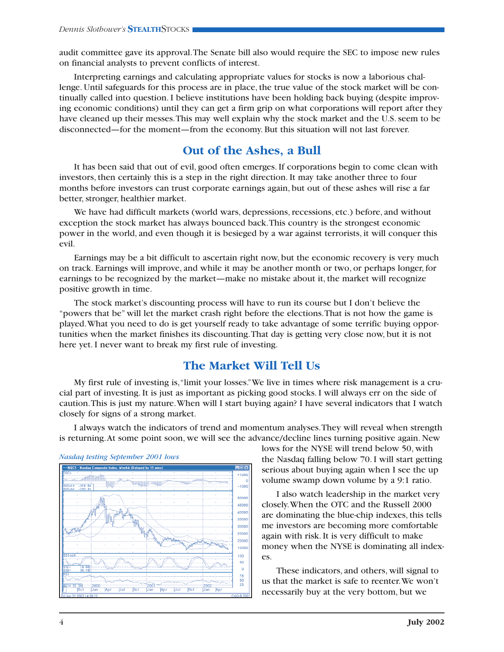audit committee gave its approval.The Senate bill also would require the SEC to impose new rules on financial analysts to prevent conflicts of interest.

Interpreting earnings and calculating appropriate values for stocks is now a laborious challenge. Until safeguards for this process are in place, the true value of the stock market will be continually called into question. I believe institutions have been holding back buying (despite improving economic conditions) until they can get a firm grip on what corporations will report after they have cleaned up their messes. This may well explain why the stock market and the U.S. seem to be disconnected—for the moment—from the economy. But this situation will not last forever.

## **Out of the Ashes, a Bull**

It has been said that out of evil, good often emerges. If corporations begin to come clean with investors, then certainly this is a step in the right direction. It may take another three to four months before investors can trust corporate earnings again, but out of these ashes will rise a far better, stronger, healthier market.

We have had difficult markets (world wars, depressions, recessions, etc.) before, and without exception the stock market has always bounced back.This country is the strongest economic power in the world, and even though it is besieged by a war against terrorists, it will conquer this evil.

Earnings may be a bit difficult to ascertain right now, but the economic recovery is very much on track. Earnings will improve, and while it may be another month or two, or perhaps longer, for earnings to be recognized by the market—make no mistake about it, the market will recognize positive growth in time.

The stock market's discounting process will have to run its course but I don't believe the "powers that be" will let the market crash right before the elections.That is not how the game is played.What you need to do is get yourself ready to take advantage of some terrific buying opportunities when the market finishes its discounting.That day is getting very close now, but it is not here yet. I never want to break my first rule of investing.

## **The Market Will Tell Us**

My first rule of investing is,"limit your losses."We live in times where risk management is a crucial part of investing. It is just as important as picking good stocks. I will always err on the side of caution.This is just my nature.When will I start buying again? I have several indicators that I watch closely for signs of a strong market.

I always watch the indicators of trend and momentum analyses.They will reveal when strength is returning.At some point soon, we will see the advance/decline lines turning positive again. New



lows for the NYSE will trend below 50, with the Nasdaq falling below 70. I will start getting serious about buying again when I see the up volume swamp down volume by a 9:1 ratio.

I also watch leadership in the market very closely.When the OTC and the Russell 2000 are dominating the blue-chip indexes, this tells me investors are becoming more comfortable again with risk. It is very difficult to make money when the NYSE is dominating all indexes.

These indicators, and others, will signal to us that the market is safe to reenter.We won't necessarily buy at the very bottom, but we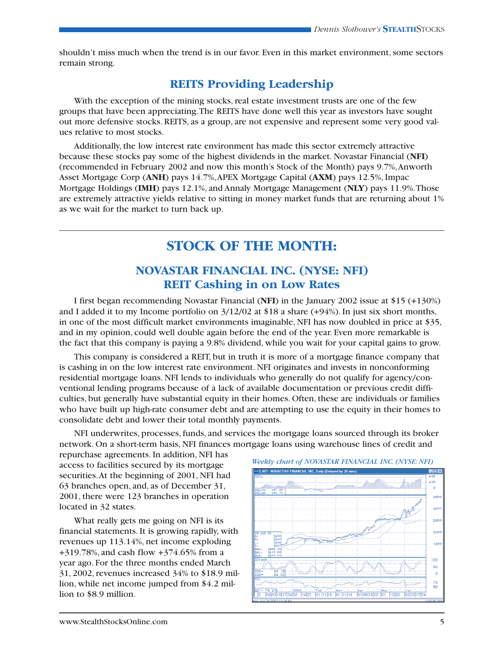shouldn't miss much when the trend is in our favor. Even in this market environment, some sectors remain strong.

## **REITS Providing Leadership**

With the exception of the mining stocks, real estate investment trusts are one of the few groups that have been appreciating.The REITS have done well this year as investors have sought out more defensive stocks. REITS, as a group, are not expensive and represent some very good values relative to most stocks.

Additionally, the low interest rate environment has made this sector extremely attractive because these stocks pay some of the highest dividends in the market. Novastar Financial (**NFI**) (recommended in February 2002 and now this month's Stock of the Month) pays 9.7%,Anworth Asset Mortgage Corp (**ANH**) pays 14.7%,APEX Mortgage Capital (**AXM**) pays 12.5%, Impac Mortgage Holdings (**IMH**) pays 12.1%, and Annaly Mortgage Management (**NLY**) pays 11.9%.Those are extremely attractive yields relative to sitting in money market funds that are returning about 1% as we wait for the market to turn back up.

# **STOCK OF THE MONTH:**

## **NOVASTAR FINANCIAL INC. (NYSE: NFI) REIT Cashing in on Low Rates**

I first began recommending Novastar Financial (**NFI**) in the January 2002 issue at \$15 (+130%) and I added it to my Income portfolio on 3/12/02 at \$18 a share (+94%). In just six short months, in one of the most difficult market environments imaginable, NFI has now doubled in price at \$35, and in my opinion, could well double again before the end of the year. Even more remarkable is the fact that this company is paying a 9.8% dividend, while you wait for your capital gains to grow.

This company is considered a REIT, but in truth it is more of a mortgage finance company that is cashing in on the low interest rate environment. NFI originates and invests in nonconforming residential mortgage loans. NFI lends to individuals who generally do not qualify for agency/conventional lending programs because of a lack of available documentation or previous credit difficulties, but generally have substantial equity in their homes. Often, these are individuals or families who have built up high-rate consumer debt and are attempting to use the equity in their homes to consolidate debt and lower their total monthly payments.

NFI underwrites, processes, funds, and services the mortgage loans sourced through its broker network. On a short-term basis, NFI finances mortgage loans using warehouse lines of credit and

repurchase agreements. In addition, NFI has access to facilities secured by its mortgage securities.At the beginning of 2001, NFI had 63 branches open, and, as of December 31, 2001, there were 123 branches in operation located in 32 states.

What really gets me going on NFI is its financial statements. It is growing rapidly, with revenues up 113.14%, net income exploding +319.78%, and cash flow +374.65% from a year ago. For the three months ended March 31, 2002, revenues increased 34% to \$18.9 million, while net income jumped from \$4.2 million to \$8.9 million.

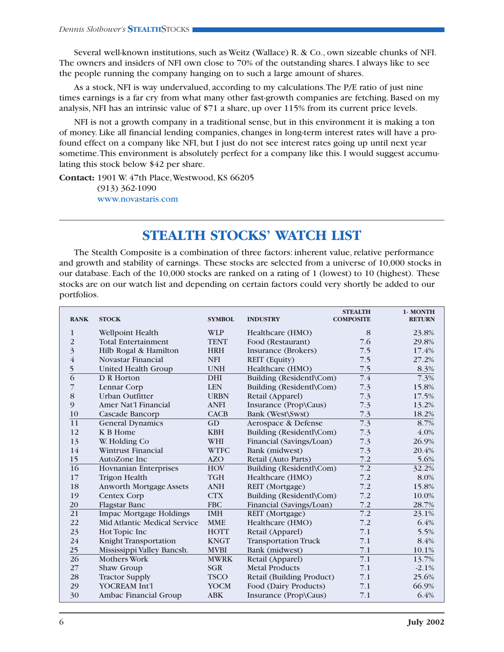Several well-known institutions, such as Weitz (Wallace) R. & Co., own sizeable chunks of NFI. The owners and insiders of NFI own close to 70% of the outstanding shares. I always like to see the people running the company hanging on to such a large amount of shares.

As a stock, NFI is way undervalued, according to my calculations.The P/E ratio of just nine times earnings is a far cry from what many other fast-growth companies are fetching. Based on my analysis, NFI has an intrinsic value of \$71 a share, up over 115% from its current price levels.

NFI is not a growth company in a traditional sense, but in this environment it is making a ton of money. Like all financial lending companies, changes in long-term interest rates will have a profound effect on a company like NFI, but I just do not see interest rates going up until next year sometime.This environment is absolutely perfect for a company like this. I would suggest accumulating this stock below \$42 per share.

**Contact:** 1901 W. 47th Place,Westwood,KS 66205 (913) 362-1090 www.novastaris.com

# **STEALTH STOCKS' WATCH LIST**

The Stealth Composite is a combination of three factors: inherent value, relative performance and growth and stability of earnings. These stocks are selected from a universe of 10,000 stocks in our database. Each of the 10,000 stocks are ranked on a rating of 1 (lowest) to 10 (highest). These stocks are on our watch list and depending on certain factors could very shortly be added to our portfolios.

| <b>RANK</b>             | <b>STOCK</b>                        | <b>SYMBOL</b> | <b>INDUSTRY</b>             | <b>STEALTH</b><br><b>COMPOSITE</b> | 1- MONTH<br><b>RETURN</b> |
|-------------------------|-------------------------------------|---------------|-----------------------------|------------------------------------|---------------------------|
| $\mathbf{1}$            | Wellpoint Health                    | <b>WLP</b>    | Healthcare (HMO)            | 8                                  | 23.8%                     |
| $\overline{2}$          | <b>Total Entertainment</b>          | <b>TENT</b>   | Food (Restaurant)           | 7.6                                | 29.8%                     |
| $\overline{\mathbf{3}}$ | Hilb Rogal & Hamilton               | <b>HRH</b>    | Insurance (Brokers)         | 7.5                                | 17.4%                     |
| $\bf 4$                 | Novastar Financial                  | <b>NFI</b>    | <b>REIT</b> (Equity)        | 7.5                                | 27.2%                     |
| 5                       | <b>United Health Group</b>          | <b>UNH</b>    | Healthcare (HMO)            | 7.5                                | 8.3%                      |
| $\overline{6}$          | D R Horton                          | <b>DHI</b>    | Building (Residentl\Com)    | 7.4                                | 7.3%                      |
| 7                       | Lennar Corp                         | <b>LEN</b>    | Building (Residentl\Com)    | 7.3                                | 15.8%                     |
| 8                       | Urban Outfitter                     | <b>URBN</b>   | Retail (Apparel)            | 7.3                                | 17.5%                     |
| 9                       | Amer Nat'l Financial                | <b>ANFI</b>   | Insurance (Prop\Caus)       | 7.3                                | 13.2%                     |
| 10                      | Cascade Bancorp                     | <b>CACB</b>   | Bank (West\Swst)            | 7.3                                | 18.2%                     |
| 11                      | <b>General Dynamics</b>             | GD            | Aerospace & Defense         | 7.3                                | 8.7%                      |
| 12                      | K B Home                            | <b>KBH</b>    | Building (Residentl\Com)    | 7.3                                | 4.0%                      |
| 13                      | W. Holding Co                       | WHI           | Financial (Savings/Loan)    | 7.3                                | 26.9%                     |
| 14                      | <b>Wintrust Financial</b>           | <b>WTFC</b>   | Bank (midwest)              | 7.3                                | 20.4%                     |
| 15                      | AutoZone Inc                        | <b>AZO</b>    | Retail (Auto Parts)         | 7.2                                | 5.6%                      |
| 16                      | <b>Hovnanian Enterprises</b>        | <b>HOV</b>    | Building (Residentl\Com)    | $\overline{7.2}$                   | 32.2%                     |
| 17                      | <b>Trigon Health</b>                | <b>TGH</b>    | Healthcare (HMO)            | 7.2                                | 8.0%                      |
| 18                      | <b>Anworth Mortgage Assets</b>      | <b>ANH</b>    | REIT (Mortgage)             | 7.2                                | 15.8%                     |
| 19                      | <b>Centex Corp</b>                  | <b>CTX</b>    | Building (Residentl\Com)    | 7.2                                | 10.0%                     |
| 20                      | <b>Flagstar Banc</b>                | <b>FBC</b>    | Financial (Savings/Loan)    | 7.2                                | 28.7%                     |
| 21                      | <b>Impac Mortgage Holdings</b>      | <b>IMH</b>    | REIT (Mortgage)             | $\overline{7.2}$                   | 23.1%                     |
| 22                      | <b>Mid Atlantic Medical Service</b> | <b>MME</b>    | Healthcare (HMO)            | 7.2                                | 6.4%                      |
| 23                      | Hot Topic Inc                       | <b>HOTT</b>   | Retail (Apparel)            | 7.1                                | 5.5%                      |
| 24                      | Knight Transportation               | <b>KNGT</b>   | <b>Transportation Truck</b> | 7.1                                | 8.4%                      |
| 25                      | Mississippi Valley Bancsh.          | <b>MVBI</b>   | Bank (midwest)              | 7.1                                | 10.1%                     |
| $\overline{26}$         | <b>Mothers Work</b>                 | <b>MWRK</b>   | Retail (Apparel)            | 7.1                                | 13.7%                     |
| 27                      | Shaw Group                          | <b>SGR</b>    | <b>Metal Products</b>       | 7.1                                | $-2.1%$                   |
| 28                      | <b>Tractor Supply</b>               | <b>TSCO</b>   | Retail (Building Product)   | 7.1                                | 25.6%                     |
| 29                      | <b>YOCREAM Int'l</b>                | <b>YOCM</b>   | Food (Dairy Products)       | 7.1                                | 66.9%                     |
| 30                      | Ambac Financial Group               | <b>ABK</b>    | Insurance (Prop\Caus)       | 7.1                                | 6.4%                      |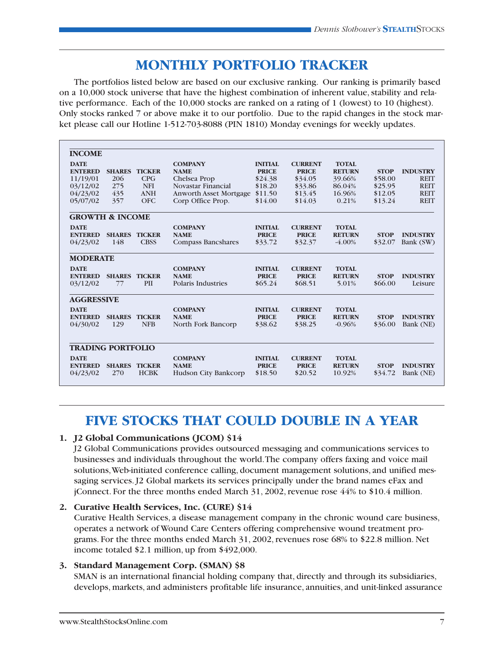# **MONTHLY PORTFOLIO TRACKER**

The portfolios listed below are based on our exclusive ranking. Our ranking is primarily based on a 10,000 stock universe that have the highest combination of inherent value, stability and relative performance. Each of the 10,000 stocks are ranked on a rating of 1 (lowest) to 10 (highest). Only stocks ranked 7 or above make it to our portfolio. Due to the rapid changes in the stock market please call our Hotline 1-512-703-8088 (PIN 1810) Monday evenings for weekly updates.

| <b>INCOME</b>              |               |               |                               |                |                |               |             |                 |
|----------------------------|---------------|---------------|-------------------------------|----------------|----------------|---------------|-------------|-----------------|
| <b>DATE</b>                |               |               | <b>COMPANY</b>                | <b>INITIAL</b> | <b>CURRENT</b> | <b>TOTAL</b>  |             |                 |
| <b>ENTERED</b>             | <b>SHARES</b> | <b>TICKER</b> | <b>NAME</b>                   | <b>PRICE</b>   | <b>PRICE</b>   | <b>RETURN</b> | <b>STOP</b> | <b>INDUSTRY</b> |
| 11/19/01                   | 206           | CPG           | Chelsea Prop                  | \$24.38        | \$34.05        | 39.66%        | \$58.00     | <b>REIT</b>     |
| 03/12/02                   | 275           | <b>NFI</b>    | Novastar Financial            | \$18.20        | \$33.86        | 86.04%        | \$25.95     | <b>REIT</b>     |
| 04/23/02                   | 435           | <b>ANH</b>    | <b>Anworth Asset Mortgage</b> | \$11.50        | \$13.45        | 16.96%        | \$12.05     | <b>REIT</b>     |
| 05/07/02                   | 357           | <b>OFC</b>    | Corp Office Prop.             | \$14.00        | \$14.03        | 0.21%         | \$13.24     | <b>REIT</b>     |
| <b>GROWTH &amp; INCOME</b> |               |               |                               |                |                |               |             |                 |
| <b>DATE</b>                |               |               | <b>COMPANY</b>                | <b>INITIAL</b> | <b>CURRENT</b> | <b>TOTAL</b>  |             |                 |
| <b>ENTERED</b>             | <b>SHARES</b> | <b>TICKER</b> | <b>NAME</b>                   | <b>PRICE</b>   | <b>PRICE</b>   | <b>RETURN</b> | <b>STOP</b> | <b>INDUSTRY</b> |
| 04/23/02                   | 148           | <b>CBSS</b>   | <b>Compass Bancshares</b>     | \$33.72        | \$32.37        | $-4.00\%$     | \$32.07     | Bank (SW)       |
| <b>MODERATE</b>            |               |               |                               |                |                |               |             |                 |
| <b>DATE</b>                |               |               | <b>COMPANY</b>                | <b>INITIAL</b> | <b>CURRENT</b> | <b>TOTAL</b>  |             |                 |
| <b>ENTERED</b>             | <b>SHARES</b> | <b>TICKER</b> | <b>NAME</b>                   | <b>PRICE</b>   | <b>PRICE</b>   | <b>RETURN</b> | <b>STOP</b> | <b>INDUSTRY</b> |
| 03/12/02                   | 77            | PII           | Polaris Industries            | \$65.24        | \$68.51        | 5.01%         | \$66.00     | Leisure         |
| <b>AGGRESSIVE</b>          |               |               |                               |                |                |               |             |                 |
| <b>DATE</b>                |               |               | <b>COMPANY</b>                | <b>INITIAL</b> | <b>CURRENT</b> | <b>TOTAL</b>  |             |                 |
| <b>ENTERED</b>             | <b>SHARES</b> | <b>TICKER</b> | <b>NAME</b>                   | <b>PRICE</b>   | <b>PRICE</b>   | <b>RETURN</b> | <b>STOP</b> | <b>INDUSTRY</b> |
| 04/30/02                   | 129           | <b>NFB</b>    | North Fork Bancorp            | \$38.62        | \$38.25        | $-0.96%$      | \$36.00     | Bank (NE)       |
|                            |               |               |                               |                |                |               |             |                 |
| <b>TRADING PORTFOLIO</b>   |               |               |                               |                |                |               |             |                 |
| <b>DATE</b>                |               |               | <b>COMPANY</b>                | <b>INITIAL</b> | <b>CURRENT</b> | <b>TOTAL</b>  |             |                 |
| <b>ENTERED</b>             | <b>SHARES</b> | <b>TICKER</b> | <b>NAME</b>                   | <b>PRICE</b>   | <b>PRICE</b>   | <b>RETURN</b> | <b>STOP</b> | <b>INDUSTRY</b> |
| 04/23/02                   | 270           | <b>HCBK</b>   | <b>Hudson City Bankcorp</b>   | \$18.50        | \$20.52        | 10.92%        | \$34.72     | Bank (NE)       |

# **FIVE STOCKS THAT COULD DOUBLE IN A YEAR**

#### **1. J2 Global Communications (JCOM) \$14**

J2 Global Communications provides outsourced messaging and communications services to businesses and individuals throughout the world.The company offers faxing and voice mail solutions,Web-initiated conference calling, document management solutions, and unified messaging services. J2 Global markets its services principally under the brand names eFax and jConnect. For the three months ended March 31, 2002, revenue rose  $44\%$  to \$10.4 million.

#### **2. Curative Health Services, Inc. (CURE) \$14**

Curative Health Services, a disease management company in the chronic wound care business, operates a network of Wound Care Centers offering comprehensive wound treatment programs. For the three months ended March 31, 2002, revenues rose 68% to \$22.8 million. Net income totaled \$2.1 million, up from \$492,000.

#### **3. Standard Management Corp. (SMAN) \$8**

SMAN is an international financial holding company that, directly and through its subsidiaries, develops, markets, and administers profitable life insurance, annuities, and unit-linked assurance